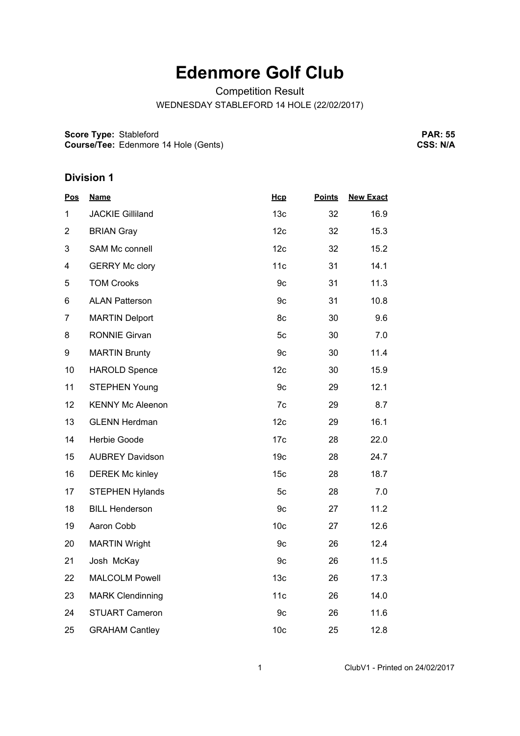## **Edenmore Golf Club**

Competition Result

WEDNESDAY STABLEFORD 14 HOLE (22/02/2017)

**Score Type:** Stableford **Course/Tee:** Edenmore 14 Hole (Gents)

**PAR: 55 CSS: N/A**

## **Division 1**

| <u>Pos</u>     | <u>Name</u>             | Hcp             | <b>Points</b> | <b>New Exact</b> |
|----------------|-------------------------|-----------------|---------------|------------------|
| 1              | <b>JACKIE Gilliland</b> | 13 <sub>c</sub> | 32            | 16.9             |
| $\overline{2}$ | <b>BRIAN Gray</b>       | 12c             | 32            | 15.3             |
| 3              | SAM Mc connell          | 12c             | 32            | 15.2             |
| 4              | <b>GERRY Mc clory</b>   | 11c             | 31            | 14.1             |
| 5              | <b>TOM Crooks</b>       | 9c              | 31            | 11.3             |
| 6              | <b>ALAN Patterson</b>   | 9 <sub>c</sub>  | 31            | 10.8             |
| $\overline{7}$ | <b>MARTIN Delport</b>   | 8c              | 30            | 9.6              |
| 8              | <b>RONNIE Girvan</b>    | 5c              | 30            | 7.0              |
| 9              | <b>MARTIN Brunty</b>    | 9c              | 30            | 11.4             |
| 10             | <b>HAROLD Spence</b>    | 12c             | 30            | 15.9             |
| 11             | <b>STEPHEN Young</b>    | 9c              | 29            | 12.1             |
| 12             | <b>KENNY Mc Aleenon</b> | 7c              | 29            | 8.7              |
| 13             | <b>GLENN Herdman</b>    | 12c             | 29            | 16.1             |
| 14             | <b>Herbie Goode</b>     | 17 <sub>c</sub> | 28            | 22.0             |
| 15             | <b>AUBREY Davidson</b>  | 19 <sub>c</sub> | 28            | 24.7             |
| 16             | <b>DEREK Mc kinley</b>  | 15 <sub>c</sub> | 28            | 18.7             |
| 17             | <b>STEPHEN Hylands</b>  | 5c              | 28            | 7.0              |
| 18             | <b>BILL Henderson</b>   | 9c              | 27            | 11.2             |
| 19             | Aaron Cobb              | 10 <sub>c</sub> | 27            | 12.6             |
| 20             | <b>MARTIN Wright</b>    | 9c              | 26            | 12.4             |
| 21             | Josh McKay              | 9c              | 26            | 11.5             |
| 22             | <b>MALCOLM Powell</b>   | 13 <sub>c</sub> | 26            | 17.3             |
| 23             | <b>MARK Clendinning</b> | 11c             | 26            | 14.0             |
| 24             | <b>STUART Cameron</b>   | 9c              | 26            | 11.6             |
| 25             | <b>GRAHAM Cantley</b>   | 10 <sub>c</sub> | 25            | 12.8             |